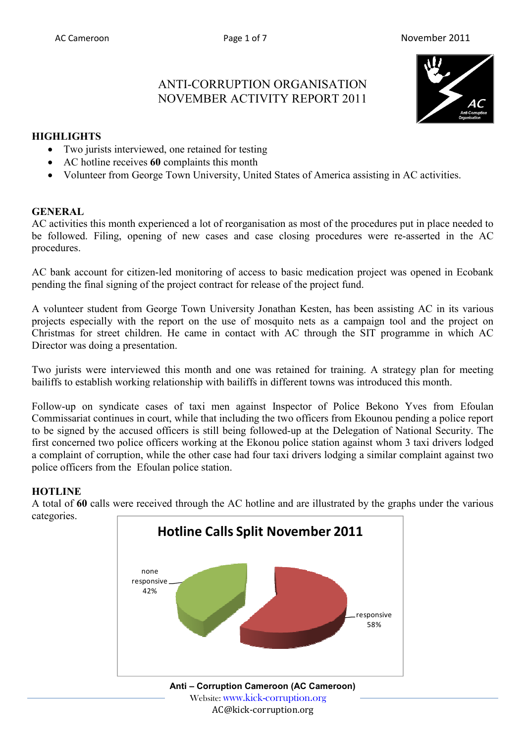## ANTI-CORRUPTION ORGANISATION NOVEMBER ACTIVITY REPORT 2011



#### **HIGHLIGHTS**

- Two jurists interviewed, one retained for testing
- AC hotline receives **60** complaints this month
- Volunteer from George Town University, United States of America assisting in AC activities.

#### **GENERAL**

AC activities this month experienced a lot of reorganisation as most of the procedures put in place needed to be followed. Filing, opening of new cases and case closing procedures were re-asserted in the AC procedures.

AC bank account for citizen-led monitoring of access to basic medication project was opened in Ecobank pending the final signing of the project contract for release of the project fund.

A volunteer student from George Town University Jonathan Kesten, has been assisting AC in its various projects especially with the report on the use of mosquito nets as a campaign tool and the project on Christmas for street children. He came in contact with AC through the SIT programme in which AC Director was doing a presentation.

Two jurists were interviewed this month and one was retained for training. A strategy plan for meeting bailiffs to establish working relationship with bailiffs in different towns was introduced this month.

Follow-up on syndicate cases of taxi men against Inspector of Police Bekono Yves from Efoulan Commissariat continues in court, while that including the two officers from Ekounou pending a police report to be signed by the accused officers is still being followed-up at the Delegation of National Security. The first concerned two police officers working at the Ekonou police station against whom 3 taxi drivers lodged a complaint of corruption, while the other case had four taxi drivers lodging a similar complaint against two police officers from the Efoulan police station.

## **HOTLINE**

A total of **60** calls were received through the AC hotline and are illustrated by the graphs under the various categories.

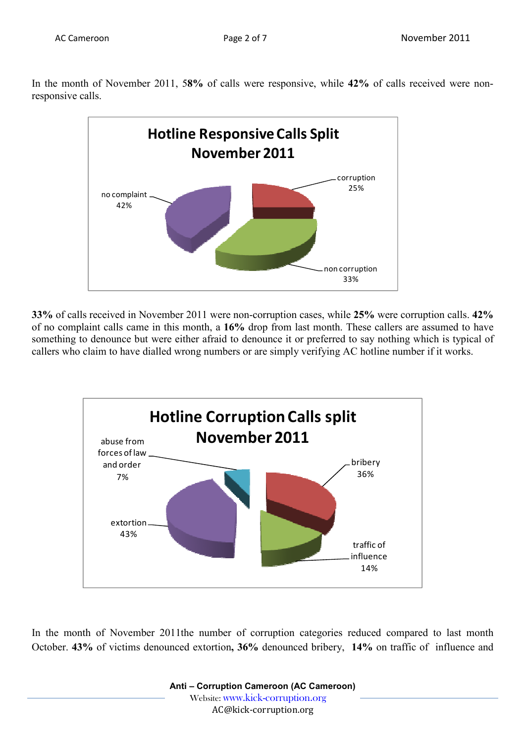In the month of November 2011, 5**8%** of calls were responsive, while **42%** of calls received were nonresponsive calls.



**33%** of calls received in November 2011 were non-corruption cases, while **25%** were corruption calls. **42%** of no complaint calls came in this month, a **16%** drop from last month. These callers are assumed to have something to denounce but were either afraid to denounce it or preferred to say nothing which is typical of callers who claim to have dialled wrong numbers or are simply verifying AC hotline number if it works.



In the month of November 2011the number of corruption categories reduced compared to last month October. **43%** of victims denounced extortion**, 36%** denounced bribery, **14%** on traffic of influence and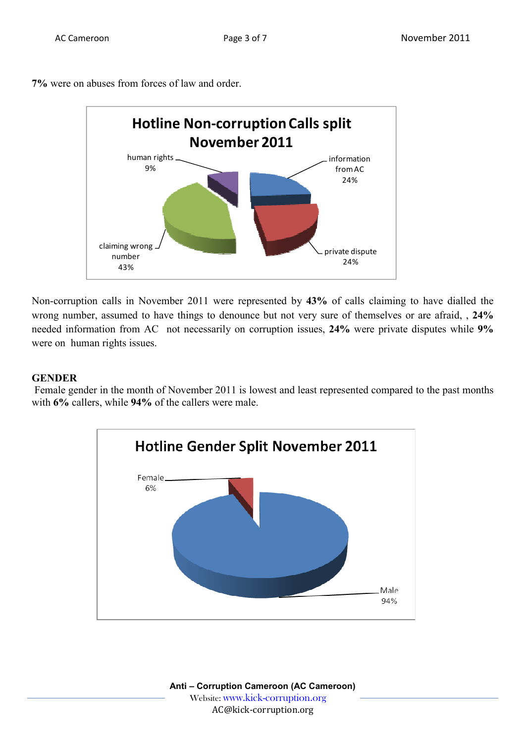**7%** were on abuses from forces of law and order.



Non-corruption calls in November 2011 were represented by **43%** of calls claiming to have dialled the wrong number, assumed to have things to denounce but not very sure of themselves or are afraid, , **24%** needed information from AC not necessarily on corruption issues, **24%** were private disputes while **9%** were on human rights issues.

#### **GENDER**

 Female gender in the month of November 2011 is lowest and least represented compared to the past months with **6%** callers, while **94%** of the callers were male.

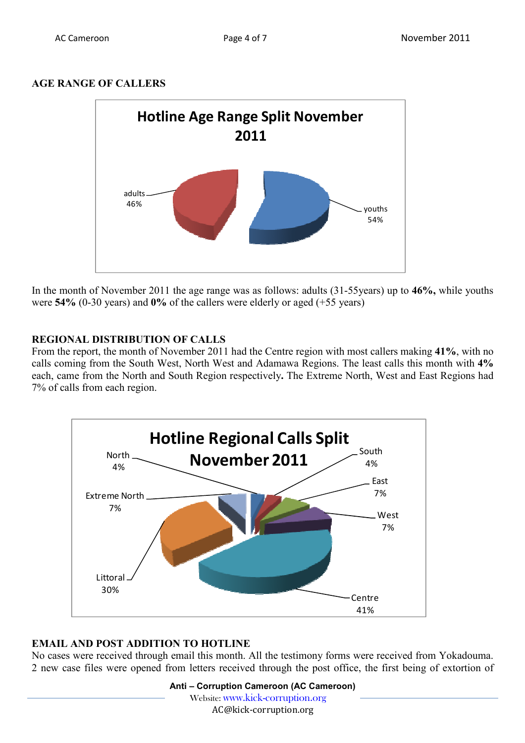### **AGE RANGE OF CALLERS**



In the month of November 2011 the age range was as follows: adults (31-55years) up to **46%,** while youths were **54%** (0-30 years) and **0%** of the callers were elderly or aged (+55 years)

## **REGIONAL DISTRIBUTION OF CALLS**

From the report, the month of November 2011 had the Centre region with most callers making **41%**, with no calls coming from the South West, North West and Adamawa Regions. The least calls this month with **4%**  each, came from the North and South Region respectively**.** The Extreme North, West and East Regions had 7% of calls from each region.



## **EMAIL AND POST ADDITION TO HOTLINE**

No cases were received through email this month. All the testimony forms were received from Yokadouma. 2 new case files were opened from letters received through the post office, the first being of extortion of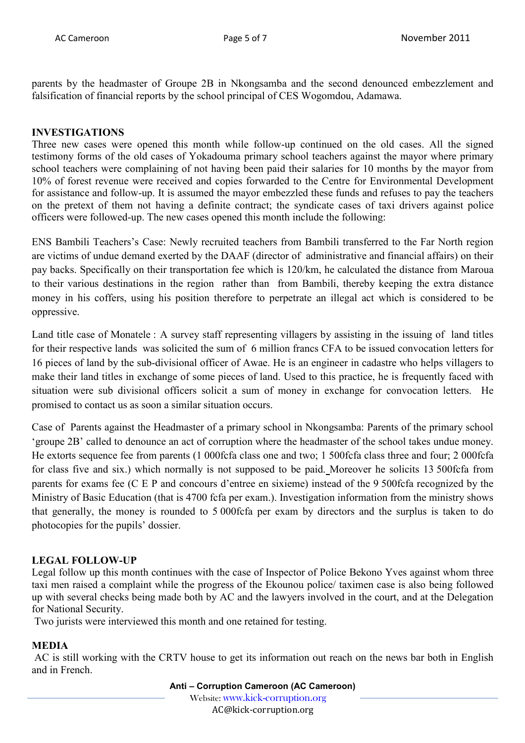parents by the headmaster of Groupe 2B in Nkongsamba and the second denounced embezzlement and falsification of financial reports by the school principal of CES Wogomdou, Adamawa.

#### **INVESTIGATIONS**

Three new cases were opened this month while follow-up continued on the old cases. All the signed testimony forms of the old cases of Yokadouma primary school teachers against the mayor where primary school teachers were complaining of not having been paid their salaries for 10 months by the mayor from 10% of forest revenue were received and copies forwarded to the Centre for Environmental Development for assistance and follow-up. It is assumed the mayor embezzled these funds and refuses to pay the teachers on the pretext of them not having a definite contract; the syndicate cases of taxi drivers against police officers were followed-up. The new cases opened this month include the following:

ENS Bambili Teachers's Case: Newly recruited teachers from Bambili transferred to the Far North region are victims of undue demand exerted by the DAAF (director of administrative and financial affairs) on their pay backs. Specifically on their transportation fee which is 120/km, he calculated the distance from Maroua to their various destinations in the region rather than from Bambili, thereby keeping the extra distance money in his coffers, using his position therefore to perpetrate an illegal act which is considered to be oppressive.

Land title case of Monatele : A survey staff representing villagers by assisting in the issuing of land titles for their respective lands was solicited the sum of 6 million francs CFA to be issued convocation letters for 16 pieces of land by the sub-divisional officer of Awae. He is an engineer in cadastre who helps villagers to make their land titles in exchange of some pieces of land. Used to this practice, he is frequently faced with situation were sub divisional officers solicit a sum of money in exchange for convocation letters. He promised to contact us as soon a similar situation occurs.

Case of Parents against the Headmaster of a primary school in Nkongsamba: Parents of the primary school 'groupe 2B' called to denounce an act of corruption where the headmaster of the school takes undue money. He extorts sequence fee from parents (1 000fcfa class one and two; 1 500fcfa class three and four; 2 000fcfa for class five and six.) which normally is not supposed to be paid. Moreover he solicits 13 500fcfa from parents for exams fee (C E P and concours d'entree en sixieme) instead of the 9 500fcfa recognized by the Ministry of Basic Education (that is 4700 fcfa per exam.). Investigation information from the ministry shows that generally, the money is rounded to 5 000fcfa per exam by directors and the surplus is taken to do photocopies for the pupils' dossier.

#### **LEGAL FOLLOW-UP**

Legal follow up this month continues with the case of Inspector of Police Bekono Yves against whom three taxi men raised a complaint while the progress of the Ekounou police/ taximen case is also being followed up with several checks being made both by AC and the lawyers involved in the court, and at the Delegation for National Security.

Two jurists were interviewed this month and one retained for testing.

## **MEDIA**

 AC is still working with the CRTV house to get its information out reach on the news bar both in English and in French.

**Anti – Corruption Cameroon (AC Cameroon)**

Website: www.kick-corruption.org

AC@kick-corruption.org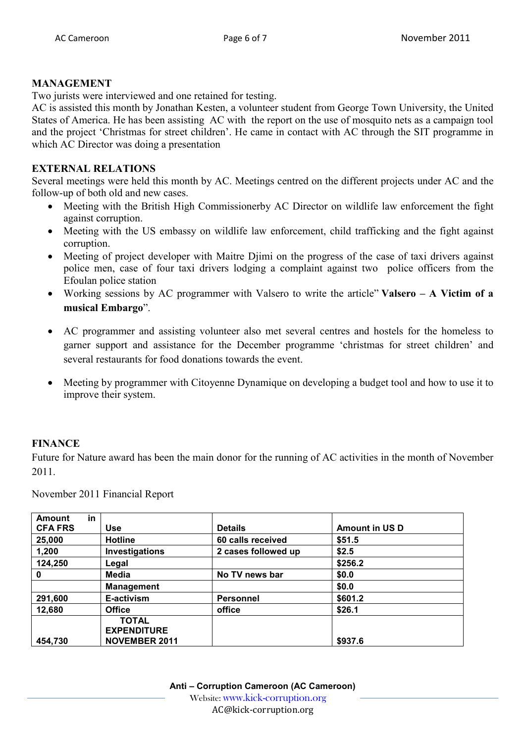#### **MANAGEMENT**

Two jurists were interviewed and one retained for testing.

AC is assisted this month by Jonathan Kesten, a volunteer student from George Town University, the United States of America. He has been assisting AC with the report on the use of mosquito nets as a campaign tool and the project 'Christmas for street children'. He came in contact with AC through the SIT programme in which AC Director was doing a presentation

#### **EXTERNAL RELATIONS**

Several meetings were held this month by AC. Meetings centred on the different projects under AC and the follow-up of both old and new cases.

- Meeting with the British High Commissionerby AC Director on wildlife law enforcement the fight against corruption.
- Meeting with the US embassy on wildlife law enforcement, child trafficking and the fight against corruption.
- Meeting of project developer with Maitre Djimi on the progress of the case of taxi drivers against police men, case of four taxi drivers lodging a complaint against two police officers from the Efoulan police station
- Working sessions by AC programmer with Valsero to write the article" **Valsero A Victim of a musical Embargo**".
- AC programmer and assisting volunteer also met several centres and hostels for the homeless to garner support and assistance for the December programme 'christmas for street children' and several restaurants for food donations towards the event.
- Meeting by programmer with Citoyenne Dynamique on developing a budget tool and how to use it to improve their system.

#### **FINANCE**

Future for Nature award has been the main donor for the running of AC activities in the month of November 2011.

November 2011 Financial Report

| <b>Amount</b>  | in |                                                            |                     |                       |
|----------------|----|------------------------------------------------------------|---------------------|-----------------------|
| <b>CFA FRS</b> |    | Use                                                        | <b>Details</b>      | <b>Amount in US D</b> |
| 25,000         |    | <b>Hotline</b>                                             | 60 calls received   | \$51.5                |
| 1,200          |    | Investigations                                             | 2 cases followed up | \$2.5                 |
| 124,250        |    | Legal                                                      |                     | \$256.2               |
| 0              |    | Media                                                      | No TV news bar      | \$0.0                 |
|                |    | <b>Management</b>                                          |                     | \$0.0                 |
| 291,600        |    | E-activism                                                 | <b>Personnel</b>    | \$601.2               |
| 12,680         |    | <b>Office</b>                                              | office              | \$26.1                |
| 454,730        |    | <b>TOTAL</b><br><b>EXPENDITURE</b><br><b>NOVEMBER 2011</b> |                     | \$937.6               |